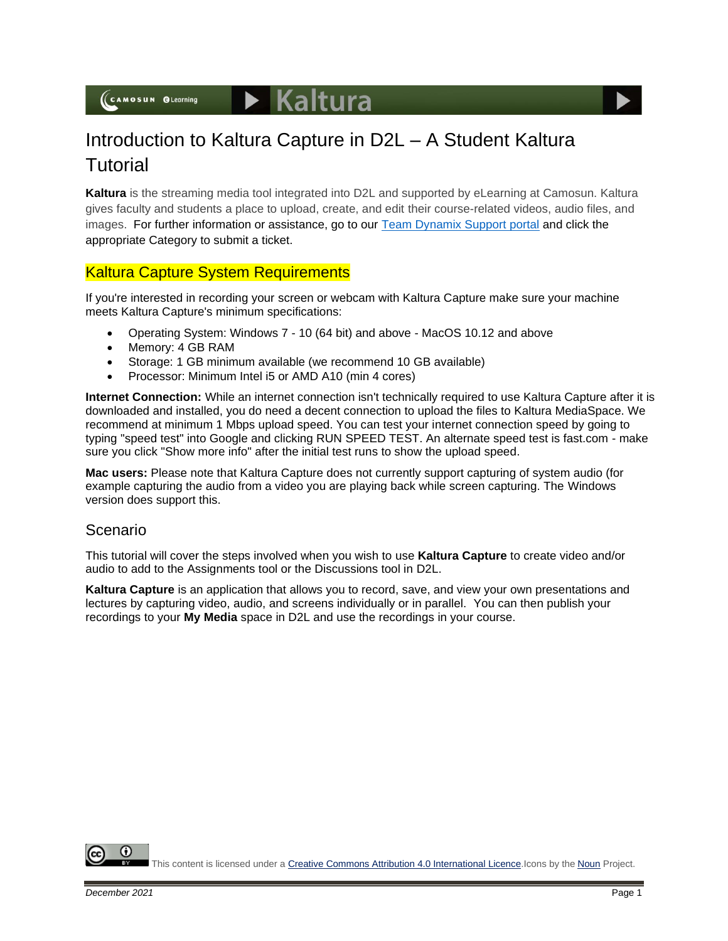(CAMOSUN @Learning



# Introduction to Kaltura Capture in D2L – A Student Kaltura **Tutorial**

**Kaltura** is the streaming media tool integrated into D2L and supported by eLearning at Camosun. Kaltura gives faculty and students a place to upload, create, and edit their course-related videos, audio files, and images. For further information or assistance, go to our [Team Dynamix Support portal](https://camosun.teamdynamix.com/TDClient/67/Portal/Requests/ServiceCatalog?CategoryID=524) and click the appropriate Category to submit a ticket.

# Kaltura Capture System Requirements

If you're interested in recording your screen or webcam with Kaltura Capture make sure your machine meets Kaltura Capture's minimum specifications:

- Operating System: Windows 7 10 (64 bit) and above MacOS 10.12 and above
- Memory: 4 GB RAM
- Storage: 1 GB minimum available (we recommend 10 GB available)
- Processor: Minimum Intel i5 or AMD A10 (min 4 cores)

**Internet Connection:** While an internet connection isn't technically required to use Kaltura Capture after it is downloaded and installed, you do need a decent connection to upload the files to Kaltura MediaSpace. We recommend at minimum 1 Mbps upload speed. You can test your internet connection speed by going to typing "speed test" into Google and clicking RUN SPEED TEST. An alternate speed test is fast.com - make sure you click "Show more info" after the initial test runs to show the upload speed.

**Mac users:** Please note that Kaltura Capture does not currently support capturing of system audio (for example capturing the audio from a video you are playing back while screen capturing. The Windows version does support this.

#### Scenario

This tutorial will cover the steps involved when you wish to use **Kaltura Capture** to create video and/or audio to add to the Assignments tool or the Discussions tool in D2L.

**Kaltura Capture** is an application that allows you to record, save, and view your own presentations and lectures by capturing video, audio, and screens individually or in parallel. You can then publish your recordings to your **My Media** space in D2L and use the recordings in your course.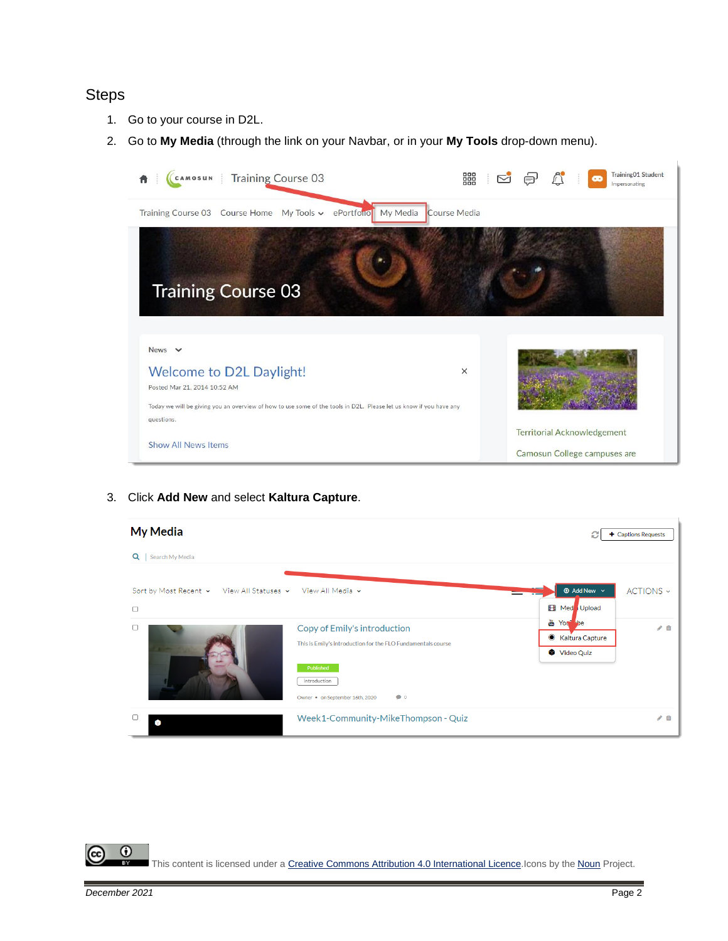## **Steps**

- 1. Go to your course in D2L.
- 2. Go to **My Media** (through the link on your Navbar, or in your **My Tools** drop-down menu).



3. Click **Add New** and select **Kaltura Capture**.



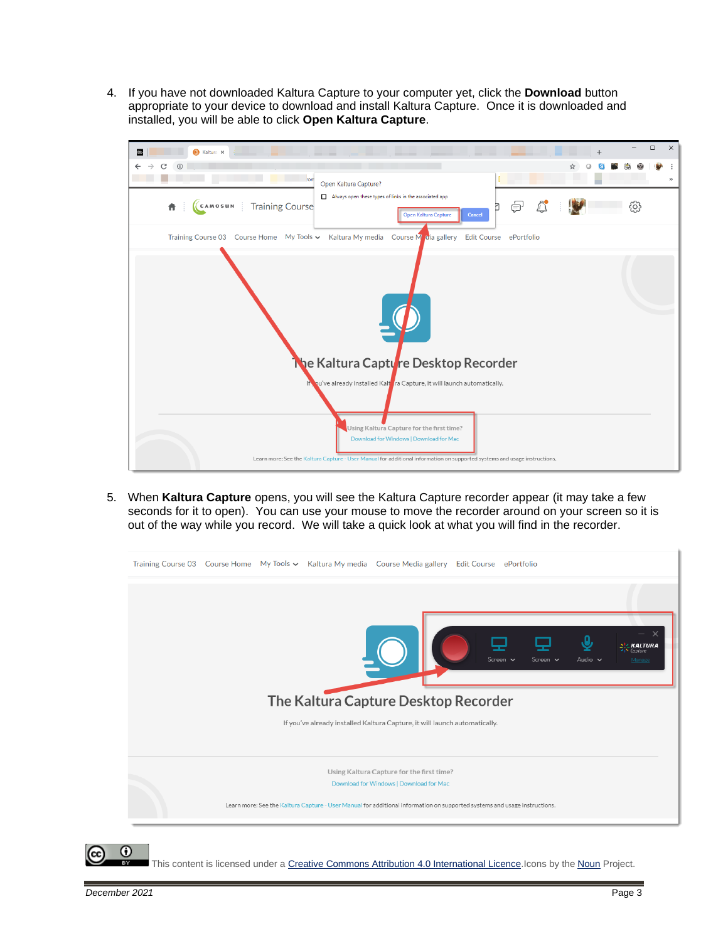4. If you have not downloaded Kaltura Capture to your computer yet, click the **Download** button appropriate to your device to download and install Kaltura Capture. Once it is downloaded and installed, you will be able to click **Open Kaltura Capture**.



5. When **Kaltura Capture** opens, you will see the Kaltura Capture recorder appear (it may take a few seconds for it to open). You can use your mouse to move the recorder around on your screen so it is out of the way while you record. We will take a quick look at what you will find in the recorder.